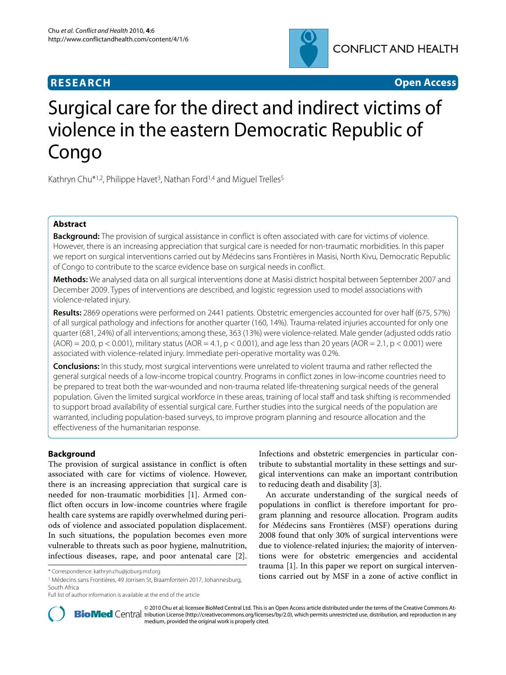

**RESEARCH Open Access**

# Surgical care for the direct and indirect victims of violence in the eastern Democratic Republic of Congo

Kathryn Chu<sup>\*1,2</sup>, Philippe Havet<sup>3</sup>, Nathan Ford<sup>1,4</sup> and Miguel Trelles<sup>5</sup>

# **Abstract**

**Background:** The provision of surgical assistance in conflict is often associated with care for victims of violence. However, there is an increasing appreciation that surgical care is needed for non-traumatic morbidities. In this paper we report on surgical interventions carried out by Médecins sans Frontières in Masisi, North Kivu, Democratic Republic of Congo to contribute to the scarce evidence base on surgical needs in conflict.

**Methods:** We analysed data on all surgical interventions done at Masisi district hospital between September 2007 and December 2009. Types of interventions are described, and logistic regression used to model associations with violence-related injury.

**Results:** 2869 operations were performed on 2441 patients. Obstetric emergencies accounted for over half (675, 57%) of all surgical pathology and infections for another quarter (160, 14%). Trauma-related injuries accounted for only one quarter (681, 24%) of all interventions; among these, 363 (13%) were violence-related. Male gender (adjusted odds ratio  $(AOR) = 20.0$ ,  $p < 0.001$ ), military status  $(AOR = 4.1, p < 0.001)$ , and age less than 20 years  $(AOR = 2.1, p < 0.001)$  were associated with violence-related injury. Immediate peri-operative mortality was 0.2%.

**Conclusions:** In this study, most surgical interventions were unrelated to violent trauma and rather reflected the general surgical needs of a low-income tropical country. Programs in conflict zones in low-income countries need to be prepared to treat both the war-wounded and non-trauma related life-threatening surgical needs of the general population. Given the limited surgical workforce in these areas, training of local staff and task shifting is recommended to support broad availability of essential surgical care. Further studies into the surgical needs of the population are warranted, including population-based surveys, to improve program planning and resource allocation and the effectiveness of the humanitarian response.

# **Background**

The provision of surgical assistance in conflict is often associated with care for victims of violence. However, there is an increasing appreciation that surgical care is needed for non-traumatic morbidities [\[1](#page-4-0)]. Armed conflict often occurs in low-income countries where fragile health care systems are rapidly overwhelmed during periods of violence and associated population displacement. In such situations, the population becomes even more vulnerable to threats such as poor hygiene, malnutrition, infectious diseases, rape, and poor antenatal care [\[2](#page-4-1)].

1 Médecins sans Frontières, 49 Jorrisen St, Braamfontein 2017, Johannesburg, South Africa

Infections and obstetric emergencies in particular contribute to substantial mortality in these settings and surgical interventions can make an important contribution to reducing death and disability [[3\]](#page-4-2).

An accurate understanding of the surgical needs of populations in conflict is therefore important for program planning and resource allocation. Program audits for Médecins sans Frontières (MSF) operations during 2008 found that only 30% of surgical interventions were due to violence-related injuries; the majority of interventions were for obstetric emergencies and accidental trauma [\[1](#page-4-0)]. In this paper we report on surgical interventions carried out by MSF in a zone of active conflict in \* Correspondence: kathryn.chu@joburg.msf.org



© 2010 Chu et al; licensee [BioMed](http://www.biomedcentral.com/) Central Ltd. This is an Open Access article distributed under the terms of the Creative Commons At-<br>Bio Med Central tribution License (http://creativecommons.org/licenses/by/2.0), which p medium, provided the original work is properly cited.

Full list of author information is available at the end of the article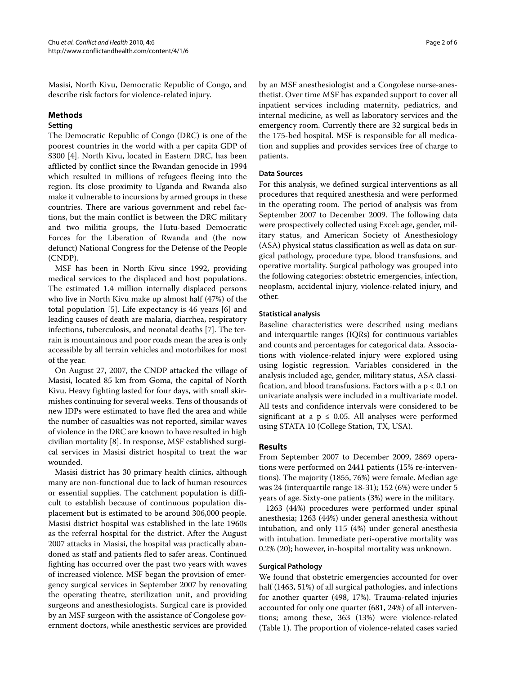Masisi, North Kivu, Democratic Republic of Congo, and describe risk factors for violence-related injury.

# **Methods**

# **Setting**

The Democratic Republic of Congo (DRC) is one of the poorest countries in the world with a per capita GDP of \$300 [[4\]](#page-4-3). North Kivu, located in Eastern DRC, has been afflicted by conflict since the Rwandan genocide in 1994 which resulted in millions of refugees fleeing into the region. Its close proximity to Uganda and Rwanda also make it vulnerable to incursions by armed groups in these countries. There are various government and rebel factions, but the main conflict is between the DRC military and two militia groups, the Hutu-based Democratic Forces for the Liberation of Rwanda and (the now defunct) National Congress for the Defense of the People (CNDP).

MSF has been in North Kivu since 1992, providing medical services to the displaced and host populations. The estimated 1.4 million internally displaced persons who live in North Kivu make up almost half (47%) of the total population [\[5](#page-4-4)]. Life expectancy is 46 years [[6\]](#page-5-0) and leading causes of death are malaria, diarrhea, respiratory infections, tuberculosis, and neonatal deaths [\[7](#page-5-1)]. The terrain is mountainous and poor roads mean the area is only accessible by all terrain vehicles and motorbikes for most of the year.

On August 27, 2007, the CNDP attacked the village of Masisi, located 85 km from Goma, the capital of North Kivu. Heavy fighting lasted for four days, with small skirmishes continuing for several weeks. Tens of thousands of new IDPs were estimated to have fled the area and while the number of casualties was not reported, similar waves of violence in the DRC are known to have resulted in high civilian mortality [\[8](#page-5-2)]. In response, MSF established surgical services in Masisi district hospital to treat the war wounded.

Masisi district has 30 primary health clinics, although many are non-functional due to lack of human resources or essential supplies. The catchment population is difficult to establish because of continuous population displacement but is estimated to be around 306,000 people. Masisi district hospital was established in the late 1960s as the referral hospital for the district. After the August 2007 attacks in Masisi, the hospital was practically abandoned as staff and patients fled to safer areas. Continued fighting has occurred over the past two years with waves of increased violence. MSF began the provision of emergency surgical services in September 2007 by renovating the operating theatre, sterilization unit, and providing surgeons and anesthesiologists. Surgical care is provided by an MSF surgeon with the assistance of Congolese government doctors, while anesthestic services are provided

by an MSF anesthesiologist and a Congolese nurse-anesthetist. Over time MSF has expanded support to cover all inpatient services including maternity, pediatrics, and internal medicine, as well as laboratory services and the emergency room. Currently there are 32 surgical beds in the 175-bed hospital. MSF is responsible for all medication and supplies and provides services free of charge to patients.

# **Data Sources**

For this analysis, we defined surgical interventions as all procedures that required anesthesia and were performed in the operating room. The period of analysis was from September 2007 to December 2009. The following data were prospectively collected using Excel: age, gender, military status, and American Society of Anesthesiology (ASA) physical status classification as well as data on surgical pathology, procedure type, blood transfusions, and operative mortality. Surgical pathology was grouped into the following categories: obstetric emergencies, infection, neoplasm, accidental injury, violence-related injury, and other.

#### **Statistical analysis**

Baseline characteristics were described using medians and interquartile ranges (IQRs) for continuous variables and counts and percentages for categorical data. Associations with violence-related injury were explored using using logistic regression. Variables considered in the analysis included age, gender, military status, ASA classification, and blood transfusions. Factors with a p < 0.1 on univariate analysis were included in a multivariate model. All tests and confidence intervals were considered to be significant at a  $p \le 0.05$ . All analyses were performed using STATA 10 (College Station, TX, USA).

# **Results**

From September 2007 to December 2009, 2869 operations were performed on 2441 patients (15% re-interventions). The majority (1855, 76%) were female. Median age was 24 (interquartile range 18-31); 152 (6%) were under 5 years of age. Sixty-one patients (3%) were in the military.

1263 (44%) procedures were performed under spinal anesthesia; 1263 (44%) under general anesthesia without intubation, and only 115 (4%) under general anesthesia with intubation. Immediate peri-operative mortality was 0.2% (20); however, in-hospital mortality was unknown.

#### **Surgical Pathology**

We found that obstetric emergencies accounted for over half (1463, 51%) of all surgical pathologies, and infections for another quarter (498, 17%). Trauma-related injuries accounted for only one quarter (681, 24%) of all interventions; among these, 363 (13%) were violence-related (Table 1). The proportion of violence-related cases varied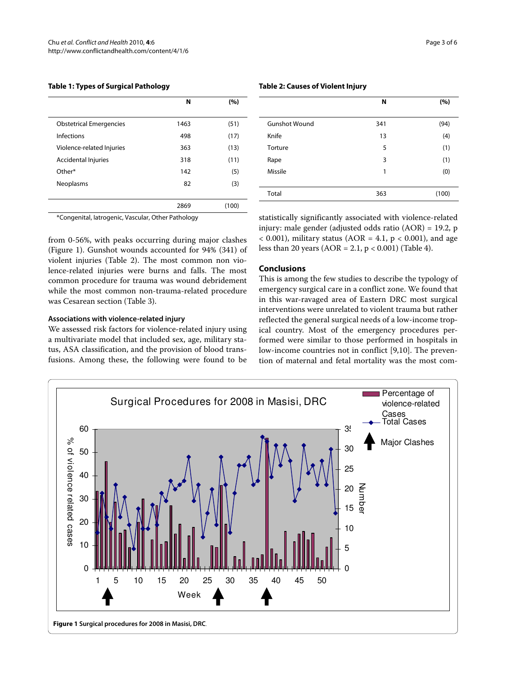#### **Table 1: Types of Surgical Pathology**

| N    | (%)   |
|------|-------|
| 1463 | (51)  |
| 498  | (17)  |
| 363  | (13)  |
| 318  | (11)  |
| 142  | (5)   |
| 82   | (3)   |
| 2869 | (100) |
|      |       |

\*Congenital, Iatrogenic, Vascular, Other Pathology

from 0-56%, with peaks occurring during major clashes (Figure [1](#page-2-0)). Gunshot wounds accounted for 94% (341) of violent injuries (Table 2). The most common non violence-related injuries were burns and falls. The most common procedure for trauma was wound debridement while the most common non-trauma-related procedure was Cesarean section (Table 3).

#### **Associations with violence-related injury**

We assessed risk factors for violence-related injury using a multivariate model that included sex, age, military status, ASA classification, and the provision of blood transfusions. Among these, the following were found to be

# **Table 2: Causes of Violent Injury**

|                      | N   | (%)   |
|----------------------|-----|-------|
| <b>Gunshot Wound</b> | 341 | (94)  |
| Knife                | 13  | (4)   |
| Torture              | 5   | (1)   |
| Rape                 | 3   | (1)   |
| <b>Missile</b>       | 1   | (0)   |
|                      |     |       |
| Total                | 363 | (100) |
|                      |     |       |

statistically significantly associated with violence-related injury: male gender (adjusted odds ratio (AOR) = 19.2, p  $<$  0.001), military status (AOR = 4.1, p  $<$  0.001), and age less than 20 years (AOR = 2.1, p < 0.001) (Table 4).

# **Conclusions**

This is among the few studies to describe the typology of emergency surgical care in a conflict zone. We found that in this war-ravaged area of Eastern DRC most surgical interventions were unrelated to violent trauma but rather reflected the general surgical needs of a low-income tropical country. Most of the emergency procedures performed were similar to those performed in hospitals in low-income countries not in conflict [\[9](#page-5-3),[10](#page-5-4)]. The prevention of maternal and fetal mortality was the most com-

<span id="page-2-0"></span>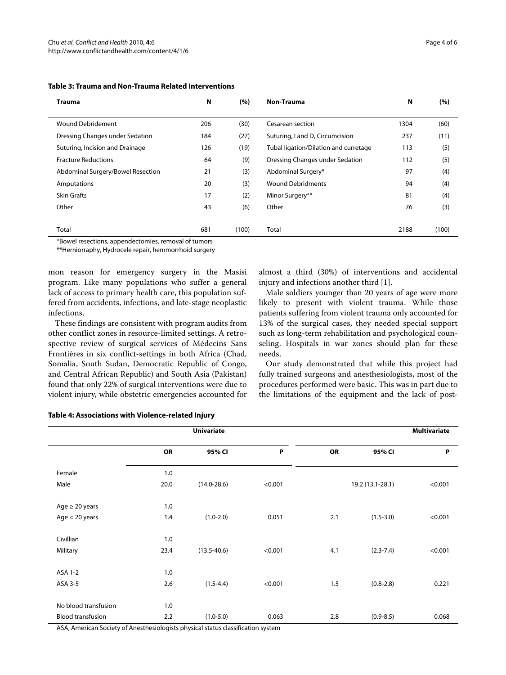# **Table 3: Trauma and Non-Trauma Related Interventions**

| Trauma                            | N   | (%)   | Non-Trauma                            | N    | (%)   |
|-----------------------------------|-----|-------|---------------------------------------|------|-------|
| <b>Wound Debridement</b>          | 206 | (30)  | Cesarean section                      | 1304 | (60)  |
| Dressing Changes under Sedation   | 184 | (27)  | Suturing, I and D, Circumcision       | 237  | (11)  |
| Suturing, Incision and Drainage   | 126 | (19)  | Tubal ligation/Dilation and curretage | 113  | (5)   |
| <b>Fracture Reductions</b>        | 64  | (9)   | Dressing Changes under Sedation       | 112  | (5)   |
| Abdominal Surgery/Bowel Resection | 21  | (3)   | Abdominal Surgery*                    | 97   | (4)   |
| Amputations                       | 20  | (3)   | <b>Wound Debridments</b>              | 94   | (4)   |
| Skin Grafts                       | 17  | (2)   | Minor Surgery**                       | 81   | (4)   |
| Other                             | 43  | (6)   | Other                                 | 76   | (3)   |
|                                   |     |       |                                       |      |       |
| Total                             | 681 | (100) | Total                                 | 2188 | (100) |

\*Bowel resections, appendectomies, removal of tumors

\*\*Herniorraphy, Hydrocele repair, hemmorrhoid surgery

mon reason for emergency surgery in the Masisi program. Like many populations who suffer a general lack of access to primary health care, this population suffered from accidents, infections, and late-stage neoplastic infections.

These findings are consistent with program audits from other conflict zones in resource-limited settings. A retrospective review of surgical services of Médecins Sans Frontières in six conflict-settings in both Africa (Chad, Somalia, South Sudan, Democratic Republic of Congo, and Central African Republic) and South Asia (Pakistan) found that only 22% of surgical interventions were due to violent injury, while obstetric emergencies accounted for

almost a third (30%) of interventions and accidental injury and infections another third [\[1](#page-4-0)].

Male soldiers younger than 20 years of age were more likely to present with violent trauma. While those patients suffering from violent trauma only accounted for 13% of the surgical cases, they needed special support such as long-term rehabilitation and psychological counseling. Hospitals in war zones should plan for these needs.

Our study demonstrated that while this project had fully trained surgeons and anesthesiologists, most of the procedures performed were basic. This was in part due to the limitations of the equipment and the lack of post-

|                          |           | <b>Univariate</b> |         |     |                  | <b>Multivariate</b> |
|--------------------------|-----------|-------------------|---------|-----|------------------|---------------------|
|                          | <b>OR</b> | 95% CI            | P       | OR  | 95% CI           | P                   |
| Female                   | 1.0       |                   |         |     |                  |                     |
| Male                     | 20.0      | $(14.0 - 28.6)$   | < 0.001 |     | 19.2 (13.1-28.1) | < 0.001             |
| Age $\geq$ 20 years      | 1.0       |                   |         |     |                  |                     |
| Age $<$ 20 years         | 1.4       | $(1.0 - 2.0)$     | 0.051   | 2.1 | $(1.5 - 3.0)$    | < 0.001             |
| Civillian                | 1.0       |                   |         |     |                  |                     |
| Military                 | 23.4      | $(13.5 - 40.6)$   | < 0.001 | 4.1 | $(2.3 - 7.4)$    | < 0.001             |
| ASA 1-2                  | 1.0       |                   |         |     |                  |                     |
| ASA 3-5                  | 2.6       | $(1.5 - 4.4)$     | < 0.001 | 1.5 | $(0.8 - 2.8)$    | 0.221               |
| No blood transfusion     | 1.0       |                   |         |     |                  |                     |
| <b>Blood transfusion</b> | 2.2       | $(1.0 - 5.0)$     | 0.063   | 2.8 | $(0.9 - 8.5)$    | 0.068               |

**Table 4: Associations with Violence-related Injury**

ASA, American Society of Anesthesiologists physical status classification system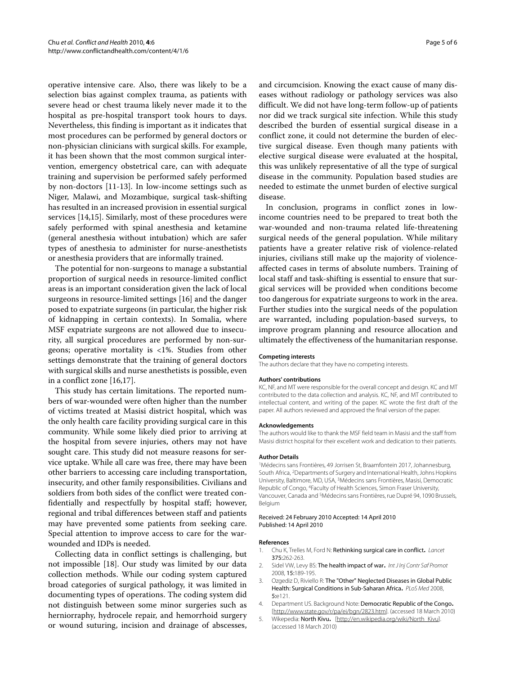operative intensive care. Also, there was likely to be a selection bias against complex trauma, as patients with severe head or chest trauma likely never made it to the hospital as pre-hospital transport took hours to days. Nevertheless, this finding is important as it indicates that most procedures can be performed by general doctors or non-physician clinicians with surgical skills. For example, it has been shown that the most common surgical intervention, emergency obstetrical care, can with adequate training and supervision be performed safely performed by non-doctors [\[11](#page-5-5)-[13\]](#page-5-6). In low-income settings such as Niger, Malawi, and Mozambique, surgical task-shifting has resulted in an increased provision in essential surgical services [[14,](#page-5-7)[15\]](#page-5-8). Similarly, most of these procedures were safely performed with spinal anesthesia and ketamine (general anesthesia without intubation) which are safer types of anesthesia to administer for nurse-anesthetists or anesthesia providers that are informally trained.

The potential for non-surgeons to manage a substantial proportion of surgical needs in resource-limited conflict areas is an important consideration given the lack of local surgeons in resource-limited settings [[16](#page-5-9)] and the danger posed to expatriate surgeons (in particular, the higher risk of kidnapping in certain contexts). In Somalia, where MSF expatriate surgeons are not allowed due to insecurity, all surgical procedures are performed by non-surgeons; operative mortality is <1%. Studies from other settings demonstrate that the training of general doctors with surgical skills and nurse anesthetists is possible, even in a conflict zone [\[16](#page-5-9)[,17](#page-5-10)].

This study has certain limitations. The reported numbers of war-wounded were often higher than the number of victims treated at Masisi district hospital, which was the only health care facility providing surgical care in this community. While some likely died prior to arriving at the hospital from severe injuries, others may not have sought care. This study did not measure reasons for service uptake. While all care was free, there may have been other barriers to accessing care including transportation, insecurity, and other family responsibilities. Civilians and soldiers from both sides of the conflict were treated confidentially and respectfully by hospital staff; however, regional and tribal differences between staff and patients may have prevented some patients from seeking care. Special attention to improve access to care for the warwounded and IDPs is needed.

Collecting data in conflict settings is challenging, but not impossible [[18\]](#page-5-11). Our study was limited by our data collection methods. While our coding system captured broad categories of surgical pathology, it was limited in documenting types of operations. The coding system did not distinguish between some minor surgeries such as herniorraphy, hydrocele repair, and hemorrhoid surgery or wound suturing, incision and drainage of abscesses,

and circumcision. Knowing the exact cause of many diseases without radiology or pathology services was also difficult. We did not have long-term follow-up of patients nor did we track surgical site infection. While this study described the burden of essential surgical disease in a conflict zone, it could not determine the burden of elective surgical disease. Even though many patients with elective surgical disease were evaluated at the hospital, this was unlikely representative of all the type of surgical disease in the community. Population based studies are needed to estimate the unmet burden of elective surgical disease.

In conclusion, programs in conflict zones in lowincome countries need to be prepared to treat both the war-wounded and non-trauma related life-threatening surgical needs of the general population. While military patients have a greater relative risk of violence-related injuries, civilians still make up the majority of violenceaffected cases in terms of absolute numbers. Training of local staff and task-shifting is essential to ensure that surgical services will be provided when conditions become too dangerous for expatriate surgeons to work in the area. Further studies into the surgical needs of the population are warranted, including population-based surveys, to improve program planning and resource allocation and ultimately the effectiveness of the humanitarian response.

#### **Competing interests**

The authors declare that they have no competing interests.

#### **Authors' contributions**

KC, NF, and MT were responsible for the overall concept and design. KC and MT contributed to the data collection and analysis. KC, NF, and MT contributed to intellectual content, and writing of the paper. KC wrote the first draft of the paper. All authors reviewed and approved the final version of the paper.

#### **Acknowledgements**

The authors would like to thank the MSF field team in Masisi and the staff from Masisi district hospital for their excellent work and dedication to their patients.

#### **Author Details**

1Médecins sans Frontières, 49 Jorrisen St, Braamfontein 2017, Johannesburg, South Africa, 2Departments of Surgery and International Health, Johns Hopkins University, Baltimore, MD, USA, 3Médecins sans Frontières, Masisi, Democratic Republic of Congo, 4Faculty of Health Sciences, Simon Fraser University, Vancouver, Canada and 5Médecins sans Frontières, rue Dupré 94, 1090 Brussels, Belgium

#### Received: 24 February 2010 Accepted: 14 April 2010 Published: 14 April 2010

#### **References**

- <span id="page-4-0"></span>1. Chu K, Trelles M, Ford N: Rethinking surgical care in conflict**.** Lancet 375:262-263.
- <span id="page-4-1"></span>2. Sidel VW, Levy BS: The health impact of war**.** Int J Inj Contr Saf Promot 2008, 15:189-195.
- <span id="page-4-2"></span>3. Ozgediz D, Riviello R: The "Other" Neglected Diseases in Global Public Health: Surgical Conditions in Sub-Saharan Africa**.** PLoS Med 2008, 5:e121.
- <span id="page-4-3"></span>4. Department US. Background Note: Democratic Republic of the Congo**.** [<http://www.state.gov/r/pa/ei/bgn/2823.htm>]. (accessed 18 March 2010)
- <span id="page-4-4"></span>5. Wikepedia: North Kivu**.** [\[http://en.wikipedia.org/wiki/North\\_Kivu](http://en.wikipedia.org/wiki/North_Kivu)]. (accessed 18 March 2010)